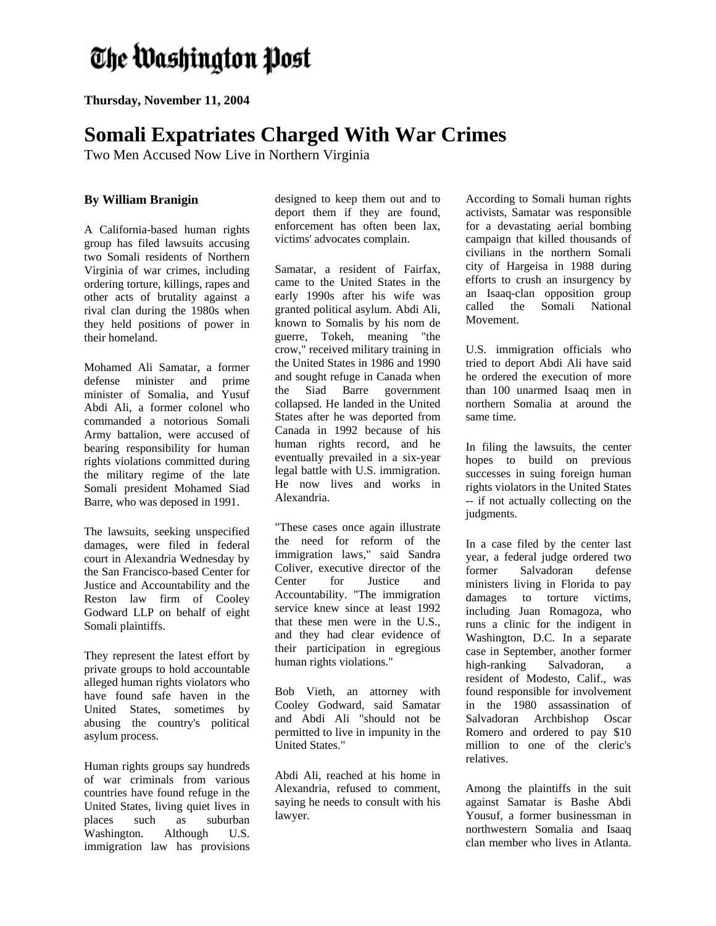## The Washington Post

**Thursday, November 11, 2004** 

## **Somali Expatriates Charged With War Crimes**

Two Men Accused Now Live in Northern Virginia

## **By William Branigin**

A California-based human rights group has filed lawsuits accusing two Somali residents of Northern Virginia of war crimes, including ordering torture, killings, rapes and other acts of brutality against a rival clan during the 1980s when they held positions of power in their homeland.

Mohamed Ali Samatar, a former defense minister and prime minister of Somalia, and Yusuf Abdi Ali, a former colonel who commanded a notorious Somali Army battalion, were accused of bearing responsibility for human rights violations committed during the military regime of the late Somali president Mohamed Siad Barre, who was deposed in 1991.

The lawsuits, seeking unspecified damages, were filed in federal court in Alexandria Wednesday by the San Francisco-based Center for Justice and Accountability and the Reston law firm of Cooley Godward LLP on behalf of eight Somali plaintiffs.

They represent the latest effort by private groups to hold accountable alleged human rights violators who have found safe haven in the United States, sometimes by abusing the country's political asylum process.

Human rights groups say hundreds of war criminals from various countries have found refuge in the United States, living quiet lives in places such as suburban Washington. Although U.S. immigration law has provisions

designed to keep them out and to deport them if they are found, enforcement has often been lax, victims' advocates complain.

Samatar, a resident of Fairfax, came to the United States in the early 1990s after his wife was granted political asylum. Abdi Ali, known to Somalis by his nom de guerre, Tokeh, meaning "the crow," received military training in the United States in 1986 and 1990 and sought refuge in Canada when the Siad Barre government collapsed. He landed in the United States after he was deported from Canada in 1992 because of his human rights record, and he eventually prevailed in a six-year legal battle with U.S. immigration. He now lives and works in Alexandria.

"These cases once again illustrate the need for reform of the immigration laws," said Sandra Coliver, executive director of the Center for Justice and Accountability. "The immigration service knew since at least 1992 that these men were in the U.S., and they had clear evidence of their participation in egregious human rights violations."

Bob Vieth, an attorney with Cooley Godward, said Samatar and Abdi Ali "should not be permitted to live in impunity in the United States."

Abdi Ali, reached at his home in Alexandria, refused to comment, saying he needs to consult with his lawyer.

According to Somali human rights activists, Samatar was responsible for a devastating aerial bombing campaign that killed thousands of civilians in the northern Somali city of Hargeisa in 1988 during efforts to crush an insurgency by an Isaaq-clan opposition group called the Somali National Movement.

U.S. immigration officials who tried to deport Abdi Ali have said he ordered the execution of more than 100 unarmed Isaaq men in northern Somalia at around the same time.

In filing the lawsuits, the center hopes to build on previous successes in suing foreign human rights violators in the United States -- if not actually collecting on the judgments.

In a case filed by the center last year, a federal judge ordered two former Salvadoran defense ministers living in Florida to pay damages to torture victims, including Juan Romagoza, who runs a clinic for the indigent in Washington, D.C. In a separate case in September, another former high-ranking Salvadoran, a resident of Modesto, Calif., was found responsible for involvement in the 1980 assassination of Salvadoran Archbishop Oscar Romero and ordered to pay \$10 million to one of the cleric's relatives.

Among the plaintiffs in the suit against Samatar is Bashe Abdi Yousuf, a former businessman in northwestern Somalia and Isaaq clan member who lives in Atlanta.